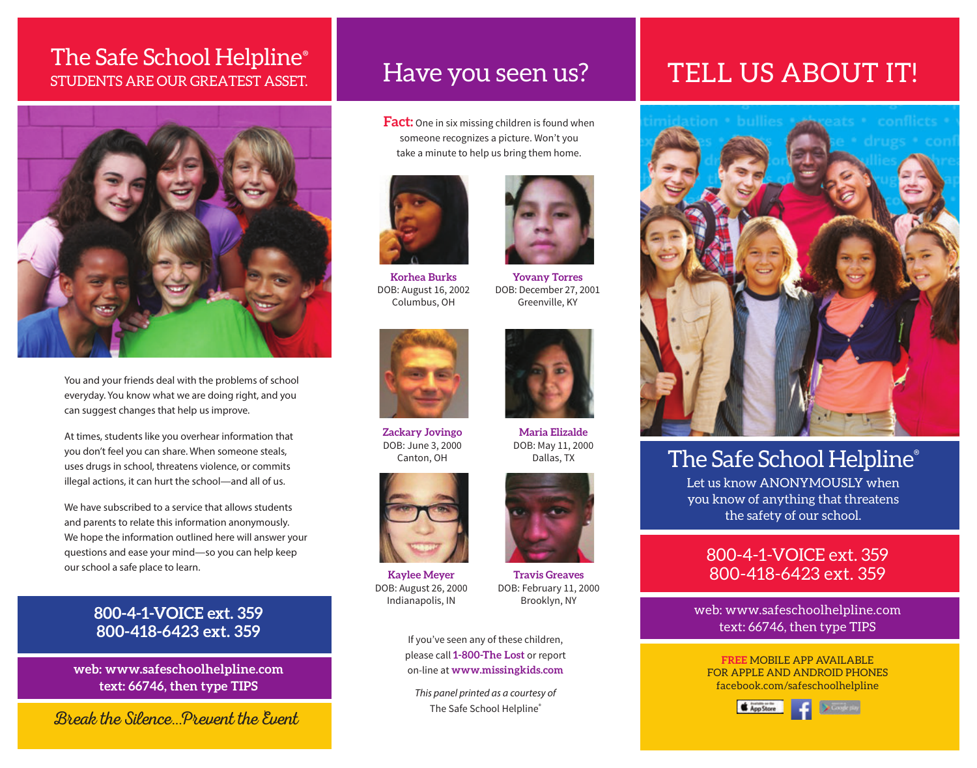### STUDENTS ARE OUR GREATEST ASSET. The Safe School Helpline®



You and your friends deal with the problems of school everyday. You know what we are doing right, and you can suggest changes that help us improve.

At times, students like you overhear information that you don't feel you can share. When someone steals, uses drugs in school, threatens violence, or commits illegal actions, it can hurt the school—and all of us.

We have subscribed to a service that allows students and parents to relate this information anonymously. We hope the information outlined here will answer your questions and ease your mind—so you can help keep our school a safe place to learn.

### **800-4-1-VOICE ext. 359 800-418-6423 ext. 359**

**web: www.safeschoolhelpline.com text: 66746, then type TIPS**

Break the Silence...Prevent the Event

### Have you seen us?

**Fact:** One in six missing children is found when someone recognizes a picture. Won't you take a minute to help us bring them home.



**Korhea Burks**  DOB: August 16, 2002 Columbus, OH



**Zackary Jovingo** DOB: June 3, 2000 Canton, OH



**Kaylee Meyer** DOB: August 26, 2000 Indianapolis, IN



**Maria Elizalde** DOB: May 11, 2000 Dallas, TX

**Yovany Torres** DOB: December 27, 2001 Greenville, KY

If you've seen any of these children, please call **1-800-The Lost** or report on-line at **www.missingkids.com**

*This panel printed as a courtesy of* The Safe School Helpline®

# TELL US ABOUT IT!



## The Safe School Helpline®

Let us know ANONYMOUSLY when you know of anything that threatens the safety of our school.

### 800-4-1-VOICE ext. 359 800-418-6423 ext. 359

web: www.safeschoolhelpline.com text: 66746, then type TIPS

**FREE** MOBILE APP AVAILABLE FOR APPLE AND ANDROID PHONES facebook.com/safeschoolhelpline